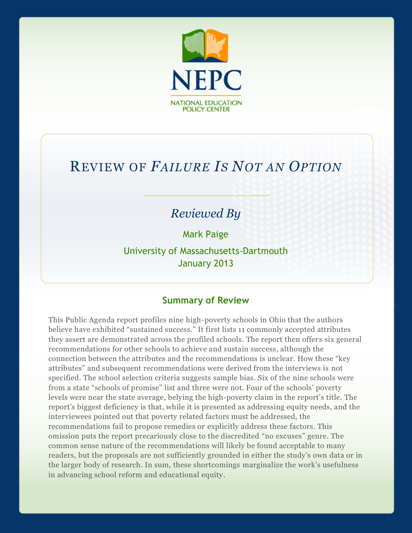

# REVIEW OF *FAILURE IS NOT AN OPTION*

# *Reviewed By*

Mark Paige

University of Massachusetts-Dartmouth January 2013

## **Summary of Review**

This Public Agenda report profiles nine high-poverty schools in Ohio that the authors believe have exhibited "sustained success." It first lists 11 commonly accepted attributes they assert are demonstrated across the profiled schools. The report then offers six general recommendations for other schools to achieve and sustain success, although the connection between the attributes and the recommendations is unclear. How these "key attributes" and subsequent recommendations were derived from the interviews is not specified. The school selection criteria suggests sample bias. Six of the nine schools were from a state "schools of promise" list and three were not. Four of the schools' poverty levels were near the state average, belying the high-poverty claim in the report's title. The report's biggest deficiency is that, while it is presented as addressing equity needs, and the interviewees pointed out that poverty related factors must be addressed, the recommendations fail to propose remedies or explicitly address these factors. This omission puts the report precariously close to the discredited "no excuses" genre. The common sense nature of the recommendations will likely be found acceptable to many readers, but the proposals are not sufficiently grounded in either the study's own data or in the larger body of research. In sum, these shortcomings marginalize the work's usefulness in advancing school reform and educational equity.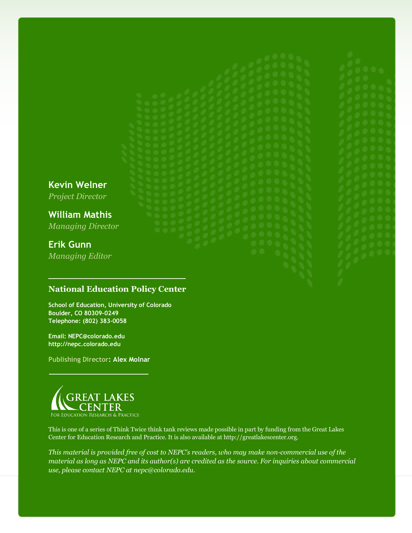# **Kevin Welner** *Project Director Managing Director*

**William Mathis**

**Erik Gunn**

*Managing Editor*

# **National Education Policy Center**

**School of Education, University of Colorado Boulder, CO 80309-0249 Telephone: (802) 383-0058**

**Email: NEPC@colorado.edu http://nepc.colorado.edu**

**Publishing Director: Alex Molnar**



This is one of a series of Think Twice think tank reviews made possible in part by funding from the Great Lakes Center for Education Research and Practice. It is also available at http://greatlakescenter.org.

*This material is provided free of cost to NEPC's readers, who may make non-commercial use of the material as long as NEPC and its author(s) are credited as the source. For inquiries about commercial use, please contact NEPC at nepc@colorado.edu.*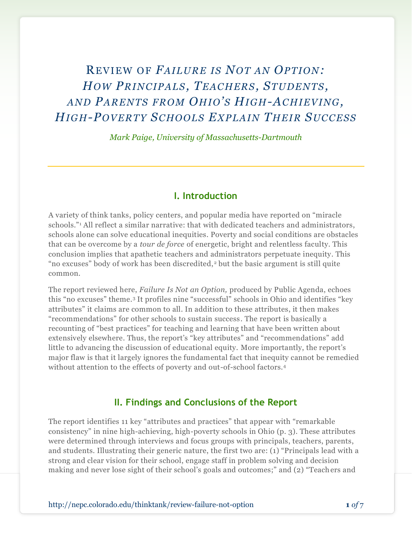# REVIEW O F *FAILURE IS NOT AN OP TION: HOW PRINC IP ALS, TEAC HERS, STUDENTS, AND PARENTS FROM OHIO'S HIG H-AC HIEVING, HIG H-POVERTY SC HOOLS EX P LAIN THEIR SUC C ES S*

*Mark Paige, University of Massachusetts-Dartmouth*

#### **I. Introduction**

A variety of think tanks, policy centers, and popular media have reported on "miracle schools."<sup>1</sup> All reflect a similar narrative: that with dedicated teachers and administrators, schools alone can solve educational inequities. Poverty and social conditions are obstacles that can be overcome by a *tour de force* of energetic, bright and relentless faculty. This conclusion implies that apathetic teachers and administrators perpetuate inequity. This "no excuses" body of work has been discredited,<sup>2</sup> but the basic argument is still quite common.

The report reviewed here, *Failure Is Not an Option,* produced by Public Agenda, echoes this "no excuses" theme.<sup>3</sup> It profiles nine "successful" schools in Ohio and identifies "key attributes" it claims are common to all. In addition to these attributes, it then makes "recommendations" for other schools to sustain success. The report is basically a recounting of "best practices" for teaching and learning that have been written about extensively elsewhere. Thus, the report's "key attributes" and "recommendations" add little to advancing the discussion of educational equity. More importantly, the report's major flaw is that it largely ignores the fundamental fact that inequity cannot be remedied without attention to the effects of poverty and out-of-school factors.<sup>4</sup>

#### **II. Findings and Conclusions of the Report**

The report identifies 11 key "attributes and practices" that appear with "remarkable consistency" in nine high-achieving, high-poverty schools in Ohio (p. 3). These attributes were determined through interviews and focus groups with principals, teachers, parents, and students. Illustrating their generic nature, the first two are: (1) "Principals lead with a strong and clear vision for their school, engage staff in problem solving and decision making and never lose sight of their school's goals and outcomes;" and (2) "Teachers and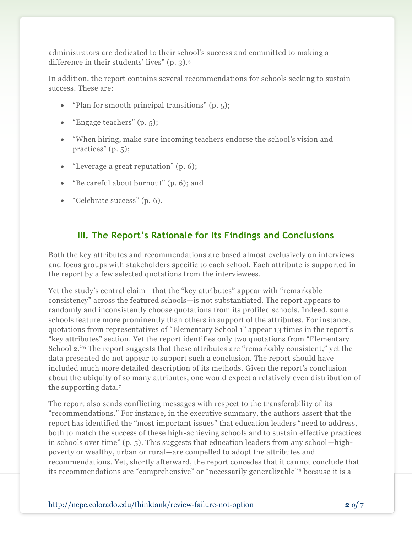administrators are dedicated to their school's success and committed to making a difference in their students' lives" (p. 3).<sup>5</sup>

In addition, the report contains several recommendations for schools seeking to sustain success. These are:

- "Plan for smooth principal transitions" (p. 5);
- "Engage teachers" (p. 5);
- "When hiring, make sure incoming teachers endorse the school's vision and practices" (p. 5);
- "Leverage a great reputation" (p. 6);
- "Be careful about burnout" (p. 6); and
- "Celebrate success" (p. 6).

# **III. The Report's Rationale for Its Findings and Conclusions**

Both the key attributes and recommendations are based almost exclusively on interviews and focus groups with stakeholders specific to each school. Each attribute is supported in the report by a few selected quotations from the interviewees.

Yet the study's central claim—that the "key attributes" appear with "remarkable consistency" across the featured schools—is not substantiated. The report appears to randomly and inconsistently choose quotations from its profiled schools. Indeed, some schools feature more prominently than others in support of the attributes. For instance, quotations from representatives of "Elementary School 1" appear 13 times in the report's "key attributes" section. Yet the report identifies only two quotations from "Elementary School 2."<sup>6</sup> The report suggests that these attributes are "remarkably consistent," yet the data presented do not appear to support such a conclusion. The report should have included much more detailed description of its methods. Given the report's conclusion about the ubiquity of so many attributes, one would expect a relatively even distribution of the supporting data.<sup>7</sup>

The report also sends conflicting messages with respect to the transferability of its "recommendations." For instance, in the executive summary, the authors assert that the report has identified the "most important issues" that education leaders "need to address, both to match the success of these high-achieving schools and to sustain effective practices in schools over time" (p. 5). This suggests that education leaders from any school—highpoverty or wealthy, urban or rural—are compelled to adopt the attributes and recommendations. Yet, shortly afterward, the report concedes that it cannot conclude that its recommendations are "comprehensive" or "necessarily generalizable" <sup>8</sup> because it is a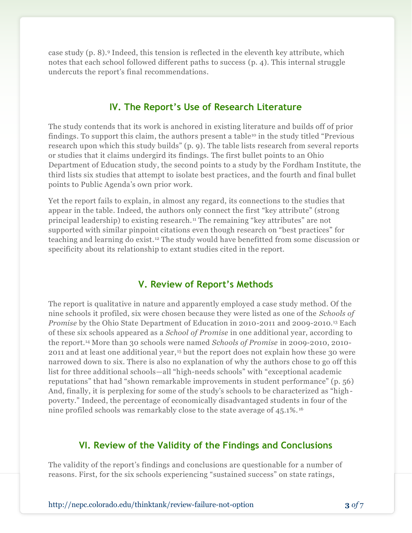case study (p. 8).<sup>9</sup> Indeed, this tension is reflected in the eleventh key attribute, which notes that each school followed different paths to success (p. 4). This internal struggle undercuts the report's final recommendations.

#### **IV. The Report's Use of Research Literature**

The study contends that its work is anchored in existing literature and builds off of prior findings. To support this claim, the authors present a table<sup>10</sup> in the study titled "Previous research upon which this study builds" (p. 9). The table lists research from several reports or studies that it claims undergird its findings. The first bullet points to an Ohio Department of Education study, the second points to a study by the Fordham Institute, the third lists six studies that attempt to isolate best practices, and the fourth and final bullet points to Public Agenda's own prior work.

Yet the report fails to explain, in almost any regard, its connections to the studies that appear in the table. Indeed, the authors only connect the first "key attribute" (strong principal leadership) to existing research. <sup>11</sup> The remaining "key attributes" are not supported with similar pinpoint citations even though research on "best practices" for teaching and learning do exist. <sup>12</sup> The study would have benefitted from some discussion or specificity about its relationship to extant studies cited in the report.

## **V. Review of Report's Methods**

The report is qualitative in nature and apparently employed a case study method. Of the nine schools it profiled, six were chosen because they were listed as one of the *Schools of Promise* by the Ohio State Department of Education in 2010-2011 and 2009-2010.<sup>13</sup> Each of these six schools appeared as a *School of Promise* in one additional year, according to the report.<sup>14</sup> More than 30 schools were named *Schools of Promise* in 2009-2010, 2010- 2011 and at least one additional year, <sup>15</sup> but the report does not explain how these 30 were narrowed down to six. There is also no explanation of why the authors chose to go off this list for three additional schools—all "high-needs schools" with "exceptional academic reputations" that had "shown remarkable improvements in student performance" (p. 56) And, finally, it is perplexing for some of the study's schools to be characterized as "highpoverty." Indeed, the percentage of economically disadvantaged students in four of the nine profiled schools was remarkably close to the state average of 45.1%. <sup>16</sup>

#### **VI. Review of the Validity of the Findings and Conclusions**

The validity of the report's findings and conclusions are questionable for a number of reasons. First, for the six schools experiencing "sustained success" on state ratings,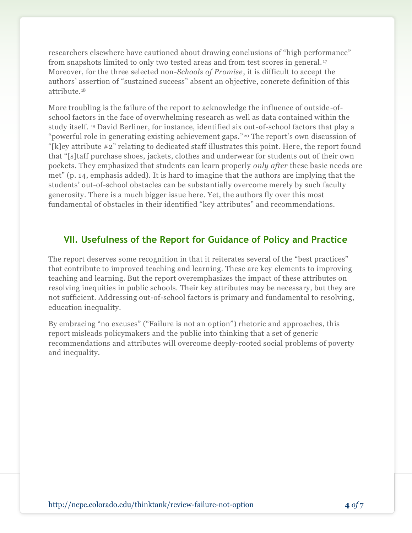researchers elsewhere have cautioned about drawing conclusions of "high performance" from snapshots limited to only two tested areas and from test scores in general. <sup>17</sup> Moreover, for the three selected non-*Schools of Promise*, it is difficult to accept the authors' assertion of "sustained success" absent an objective, concrete definition of this attribute.<sup>18</sup>

More troubling is the failure of the report to acknowledge the influence of outside-ofschool factors in the face of overwhelming research as well as data contained within the study itself. <sup>19</sup> David Berliner, for instance, identified six out-of-school factors that play a "powerful role in generating existing achievement gaps." <sup>20</sup> The report's own discussion of "[k]ey attribute #2" relating to dedicated staff illustrates this point. Here, the report found that "[s]taff purchase shoes, jackets, clothes and underwear for students out of their own pockets. They emphasized that students can learn properly *only after* these basic needs are met" (p. 14, emphasis added). It is hard to imagine that the authors are implying that the students' out-of-school obstacles can be substantially overcome merely by such faculty generosity. There is a much bigger issue here. Yet, the authors fly over this most fundamental of obstacles in their identified "key attributes" and recommendations.

# **VII. Usefulness of the Report for Guidance of Policy and Practice**

The report deserves some recognition in that it reiterates several of the "best practices" that contribute to improved teaching and learning. These are key elements to improving teaching and learning. But the report overemphasizes the impact of these attributes on resolving inequities in public schools. Their key attributes may be necessary, but they are not sufficient. Addressing out-of-school factors is primary and fundamental to resolving, education inequality.

By embracing "no excuses" ("Failure is not an option") rhetoric and approaches, this report misleads policymakers and the public into thinking that a set of generic recommendations and attributes will overcome deeply-rooted social problems of poverty and inequality.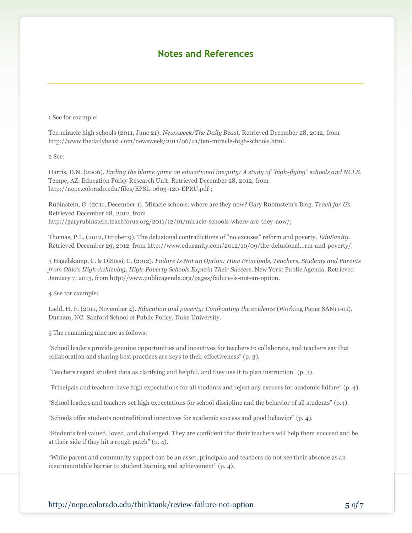### **Notes and References**

1 See for example:

Ten miracle high schools (2011, June 21). *Newsweek/The Daily Beast.* Retrieved December 28, 2012, from http://www.thedailybeast.com/newsweek/2011/06/21/ten-miracle-high-schools.html.

2 See:

Harris, D.N. (2006). *Ending the blame game on educational inequity: A study of "high-flying" schools and NCLB*. Tempe, AZ: Education Policy Research Unit. Retrieved December 28, 2012, from http://nepc.colorado.edu/files/EPSL-0603-120-EPRU.pdf ;

Rubinstein, G. (2011, December 1). Miracle schools: where are they now? Gary Rubinstein's Blog. *Teach for Us*. Retrieved December 28, 2012, from http://garyrubinstein.teachforus.org/2011/12/01/miracle-schools-where-are-they-now/;

Thomas, P.L. (2012, October 9). The delusional contradictions of "no excuses" reform and poverty. *EduSanity*. Retrieved December 29, 2012, from http://www.edusanity.com/2012/10/09/the-delusional…rm-and-poverty/.

3 Hagelskamp, C. & DiStasi, C. (2012). *Failure Is Not an Option: How Principals, Teachers, Students and Parents from Ohio's High-Achieving, High-Poverty Schools Explain Their Success*. New York: Public Agenda. Retrieved January 7, 2013, from http://www.publicagenda.org/pages/failure-is-not-an-option.

4 See for example:

Ladd, H. F. (2011, November 4). *Education and poverty: Confronting the evidence* (Working Paper SAN11-01). Durham, NC: Sanford School of Public Policy, Duke University.

5 The remaining nine are as follows:

"School leaders provide genuine opportunities and incentives for teachers to collaborate, and teachers say that collaboration and sharing best practices are keys to their effectiveness" (p. 3).

"Teachers regard student data as clarifying and helpful, and they use it to plan instruction" (p. 3).

"Principals and teachers have high expectations for all students and reject any excuses for academic failure" (p. 4).

"School leaders and teachers set high expectations for school discipline and the behavior of all students" (p.4).

"Schools offer students nontraditional incentives for academic success and good behavior" (p. 4).

"Students feel valued, loved, and challenged. They are confident that their teachers will help them succeed and be at their side if they hit a rough patch" (p. 4).

"While parent and community support can be an asset, principals and teachers do not see their absence as an insurmountable barrier to student learning and achievement" (p. 4).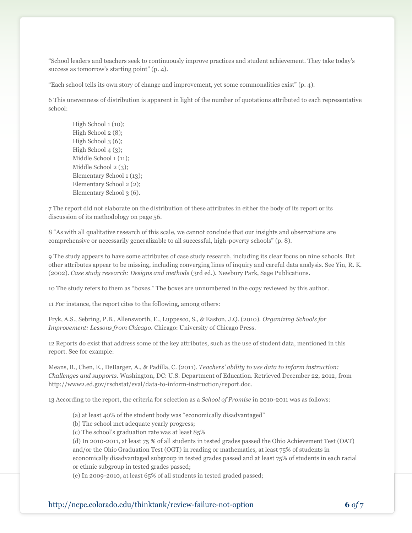"School leaders and teachers seek to continuously improve practices and student achievement. They take today's success as tomorrow's starting point" (p. 4).

"Each school tells its own story of change and improvement, yet some commonalities exist" (p. 4).

6 This unevenness of distribution is apparent in light of the number of quotations attributed to each representative school:

High School 1 (10); High School 2 (8); High School 3 (6); High School 4 (3); Middle School 1 (11); Middle School 2 (3); Elementary School 1 (13); Elementary School 2 (2); Elementary School 3 (6).

7 The report did not elaborate on the distribution of these attributes in either the body of its report or its discussion of its methodology on page 56.

8 "As with all qualitative research of this scale, we cannot conclude that our insights and observations are comprehensive or necessarily generalizable to all successful, high-poverty schools" (p. 8).

9 The study appears to have some attributes of case study research, including its clear focus on nine schools. But other attributes appear to be missing, including converging lines of inquiry and careful data analysis. See Yin, R. K. (2002). *Case study research: Designs and methods* (3rd ed.). Newbury Park, Sage Publications.

10 The study refers to them as "boxes." The boxes are unnumbered in the copy reviewed by this author.

11 For instance, the report cites to the following, among others:

Fryk, A.S., Sebring, P.B., Allensworth, E., Luppesco, S., & Easton, J.Q. (2010). *Organizing Schools for Improvement: Lessons from Chicago*. Chicago: University of Chicago Press.

12 Reports do exist that address some of the key attributes, such as the use of student data, mentioned in this report. See for example:

Means, B., Chen, E., DeBarger, A., & Padilla, C. (2011). *Teachers' ability to use data to inform instruction: Challenges and supports*. Washington, DC: U.S. Department of Education. Retrieved December 22, 2012, from http://www2.ed.gov/rschstat/eval/data-to-inform-instruction/report.doc.

13 According to the report, the criteria for selection as a *School of Promise* in 2010-2011 was as follows:

(a) at least 40% of the student body was "economically disadvantaged"

(b) The school met adequate yearly progress;

(c) The school's graduation rate was at least 85%

(d) In 2010-2011, at least 75 % of all students in tested grades passed the Ohio Achievement Test (OAT) and/or the Ohio Graduation Test (OGT) in reading or mathematics, at least 75% of students in economically disadvantaged subgroup in tested grades passed and at least 75% of students in each racial or ethnic subgroup in tested grades passed;

(e) In 2009-2010, at least 65% of all students in tested graded passed;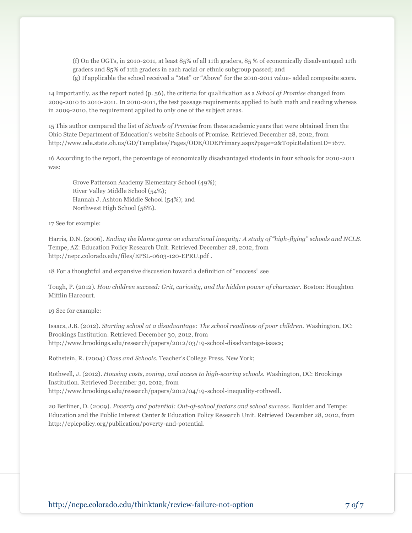(f) On the OGTs, in 2010-2011, at least 85% of all 11th graders, 85 % of economically disadvantaged 11th graders and 85% of 11th graders in each racial or ethnic subgroup passed; and (g) If applicable the school received a "Met" or "Above" for the 2010-2011 value- added composite score.

14 Importantly, as the report noted (p. 56), the criteria for qualification as a *School of Promise* changed from 2009-2010 to 2010-2011. In 2010-2011, the test passage requirements applied to both math and reading whereas in 2009-2010, the requirement applied to only one of the subject areas.

15 This author compared the list of *Schools of Promise* from these academic years that were obtained from the Ohio State Department of Education's website Schools of Promise. Retrieved December 28, 2012, from http://www.ode.state.oh.us/GD/Templates/Pages/ODE/ODEPrimary.aspx?page=2&TopicRelationID=1677.

16 According to the report, the percentage of economically disadvantaged students in four schools for 2010-2011 was:

Grove Patterson Academy Elementary School (49%); River Valley Middle School (54%); Hannah J. Ashton Middle School (54%); and Northwest High School (58%).

17 See for example:

Harris, D.N. (2006). *Ending the blame game on educational inequity: A study of "high-flying" schools and NCLB*. Tempe, AZ: Education Policy Research Unit. Retrieved December 28, 2012, from http://nepc.colorado.edu/files/EPSL-0603-120-EPRU.pdf .

18 For a thoughtful and expansive discussion toward a definition of "success" see

Tough, P. (2012). *How children succeed: Grit, curiosity, and the hidden power of character.* Boston: Houghton Mifflin Harcourt.

19 See for example:

Isaacs, J.B. (2012). *Starting school at a disadvantage: The school readiness of poor children.* Washington, DC: Brookings Institution. Retrieved December 30, 2012, from http://www.brookings.edu/research/papers/2012/03/19-school-disadvantage-isaacs;

Rothstein, R. (2004) *Class and Schools.* Teacher's College Press. New York;

Rothwell, J. (2012). *Housing costs, zoning, and access to high-scoring schools.* Washington, DC: Brookings Institution. Retrieved December 30, 2012, from http://www.brookings.edu/research/papers/2012/04/19-school-inequality-rothwell.

20 Berliner, D. (2009). *Poverty and potential: Out-of-school factors and school success*. Boulder and Tempe: Education and the Public Interest Center & Education Policy Research Unit. Retrieved December 28, 2012, from http://epicpolicy.org/publication/poverty-and-potential.